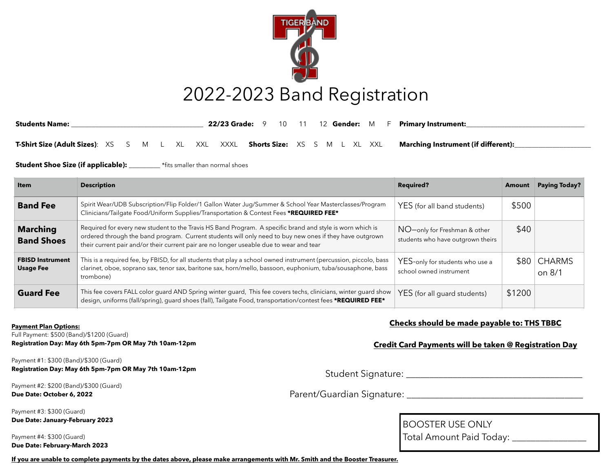

| <b>Students Name:</b>                               |  |  |  | <b>22/23 Grade:</b> 9 | 10                                  | 11 |  | 12 <b>Gender:</b> M | $\overline{a}$ | <b>Primary Instrument:</b>                 |
|-----------------------------------------------------|--|--|--|-----------------------|-------------------------------------|----|--|---------------------|----------------|--------------------------------------------|
| <b>T-Shirt Size (Adult Sizes)</b> : XS S M L XL XXL |  |  |  | XXXL                  | <b>Shorts Size:</b> XS S M L XL XXL |    |  |                     |                | <b>Marching Instrument (if different):</b> |

**Student Shoe Size (if applicable): The state of the smaller than normal shoes** 

| Item                                        | <b>Description</b>                                                                                                                                                                                                                                                                                              | <b>Required?</b>                                                  | Amount | <b>Paying Today?</b>    |
|---------------------------------------------|-----------------------------------------------------------------------------------------------------------------------------------------------------------------------------------------------------------------------------------------------------------------------------------------------------------------|-------------------------------------------------------------------|--------|-------------------------|
| <b>Band Fee</b>                             | Spirit Wear/UDB Subscription/Flip Folder/1 Gallon Water Jug/Summer & School Year Masterclasses/Program<br>Clinicians/Tailgate Food/Uniform Supplies/Transportation & Contest Fees *REQUIRED FEE*                                                                                                                | YES (for all band students)                                       | \$500  |                         |
| <b>Marching</b><br><b>Band Shoes</b>        | Required for every new student to the Travis HS Band Program. A specific brand and style is worn which is<br>ordered through the band program. Current students will only need to buy new ones if they have outgrown<br>their current pair and/or their current pair are no longer useable due to wear and tear | NO-only for Freshman & other<br>students who have outgrown theirs | \$40   |                         |
| <b>FBISD Instrument</b><br><b>Usage Fee</b> | This is a required fee, by FBISD, for all students that play a school owned instrument (percussion, piccolo, bass<br>clarinet, oboe, soprano sax, tenor sax, baritone sax, horn/mello, bassoon, euphonium, tuba/sousaphone, bass<br>trombone)                                                                   | YES-only for students who use a<br>school owned instrument        | \$80.  | <b>CHARMS</b><br>on 8/1 |
| <b>Guard Fee</b>                            | This fee covers FALL color guard AND Spring winter guard, This fee covers techs, clinicians, winter guard show<br>design, uniforms (fall/spring), guard shoes (fall), Tailgate Food, transportation/contest fees *REQUIRED FEE*                                                                                 | YES (for all guard students)                                      | \$1200 |                         |

**Payment Plan Options:**

Full Payment: \$500 (Band)/\$1200 (Guard)

**Registration Day: May 6th 5pm-7pm OR May 7th 10am-12pm**

Payment #1: \$300 (Band)/\$300 (Guard) **Registration Day: May 6th 5pm-7pm OR May 7th 10am-12pm**

Payment #2: \$200 (Band)/\$300 (Guard) **Due Date: October 6, 2022**

Payment #3: \$300 (Guard) **Due Date: January-February 2023**

Payment #4: \$300 (Guard) **Due Date: February-March 2023**

#### **Checks should be made payable to: THS TBBC**

#### **Credit Card Payments will be taken @ Registration Day**

Student Signature: \_\_\_\_\_\_\_\_\_\_\_\_\_\_\_\_\_\_\_\_\_\_\_\_\_\_\_\_\_\_\_\_\_\_\_\_\_\_

Parent/Guardian Signature: \_\_\_\_\_\_\_\_\_\_\_\_\_\_\_\_\_\_\_\_\_\_\_\_\_\_\_\_\_\_\_\_\_\_\_\_\_\_

BOOSTER USE ONLY

Total Amount Paid Today: \_\_\_\_\_\_\_\_\_\_\_\_\_\_\_\_\_

**If you are unable to complete payments by the dates above, please make arrangements with Mr. Smith and the Booster Treasurer.**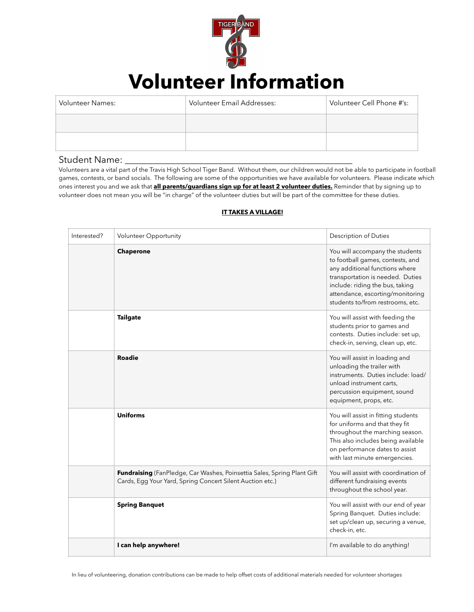

# **Volunteer Information**

| <b>Volunteer Names:</b> | Volunteer Email Addresses: | Volunteer Cell Phone #'s: |
|-------------------------|----------------------------|---------------------------|
|                         |                            |                           |
|                         |                            |                           |

#### Student Name: \_

Volunteers are a vital part of the Travis High School Tiger Band. Without them, our children would not be able to participate in football games, contests, or band socials. The following are some of the opportunities we have available for volunteers. Please indicate which ones interest you and we ask that **all parents/guardians sign up for at least 2 volunteer duties.** Reminder that by signing up to volunteer does not mean you will be "in charge" of the volunteer duties but will be part of the committee for these duties.

| Interested? | <b>Volunteer Opportunity</b>                                                                                                         | <b>Description of Duties</b>                                                                                                                                                                                                                         |
|-------------|--------------------------------------------------------------------------------------------------------------------------------------|------------------------------------------------------------------------------------------------------------------------------------------------------------------------------------------------------------------------------------------------------|
|             | Chaperone                                                                                                                            | You will accompany the students<br>to football games, contests, and<br>any additional functions where<br>transportation is needed. Duties<br>include: riding the bus, taking<br>attendance, escorting/monitoring<br>students to/from restrooms, etc. |
|             | <b>Tailgate</b>                                                                                                                      | You will assist with feeding the<br>students prior to games and<br>contests. Duties include: set up,<br>check-in, serving, clean up, etc.                                                                                                            |
|             | <b>Roadie</b>                                                                                                                        | You will assist in loading and<br>unloading the trailer with<br>instruments. Duties include: load/<br>unload instrument carts,<br>percussion equipment, sound<br>equipment, props, etc.                                                              |
|             | <b>Uniforms</b>                                                                                                                      | You will assist in fitting students<br>for uniforms and that they fit<br>throughout the marching season.<br>This also includes being available<br>on performance dates to assist<br>with last minute emergencies.                                    |
|             | Fundraising (FanPledge, Car Washes, Poinsettia Sales, Spring Plant Gift<br>Cards, Egg Your Yard, Spring Concert Silent Auction etc.) | You will assist with coordination of<br>different fundraising events<br>throughout the school year.                                                                                                                                                  |
|             | <b>Spring Banquet</b>                                                                                                                | You will assist with our end of year<br>Spring Banquet. Duties include:<br>set up/clean up, securing a venue,<br>check-in, etc.                                                                                                                      |
|             | I can help anywhere!                                                                                                                 | I'm available to do anything!                                                                                                                                                                                                                        |

#### **IT TAKES A VILLAGE!**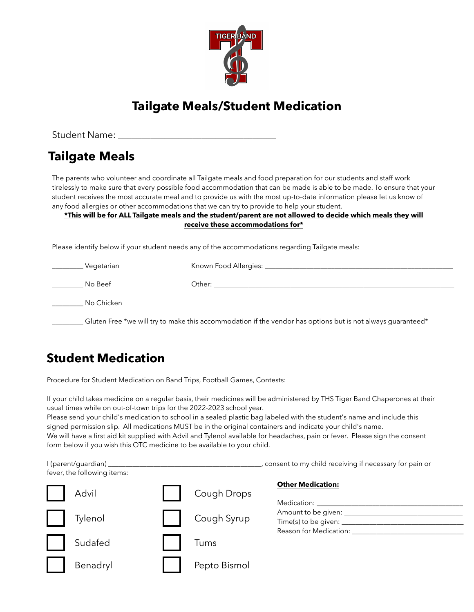

# **Tailgate Meals/Student Medication**

Student Name: \_\_\_\_\_\_\_\_\_\_\_\_\_\_\_\_\_\_\_\_\_\_\_\_\_\_\_\_\_\_\_\_\_\_

## **Tailgate Meals**

The parents who volunteer and coordinate all Tailgate meals and food preparation for our students and staff work tirelessly to make sure that every possible food accommodation that can be made is able to be made. To ensure that your student receives the most accurate meal and to provide us with the most up-to-date information please let us know of any food allergies or other accommodations that we can try to provide to help your student.

#### **\*This will be for ALL Tailgate meals and the student/parent are not allowed to decide which meals they will receive these accommodations for\***

Please identify below if your student needs any of the accommodations regarding Tailgate meals:

| Vegetarian | Known Food Allergies:                                                                                       |
|------------|-------------------------------------------------------------------------------------------------------------|
| No Beef    | Other:                                                                                                      |
| No Chicken |                                                                                                             |
|            | Gluten Free *we will try to make this accommodation if the vendor has options but is not always guaranteed* |

## **Student Medication**

Procedure for Student Medication on Band Trips, Football Games, Contests:

If your child takes medicine on a regular basis, their medicines will be administered by THS Tiger Band Chaperones at their usual times while on out-of-town trips for the 2022-2023 school year.

Please send your child's medication to school in a sealed plastic bag labeled with the student's name and include this signed permission slip. All medications MUST be in the original containers and indicate your child's name. We will have a first aid kit supplied with Advil and Tylenol available for headaches, pain or fever. Please sign the consent form below if you wish this OTC medicine to be available to your child.

| fever, the following items: |              | , consent to my child receiving if necessary for pain or                                       |
|-----------------------------|--------------|------------------------------------------------------------------------------------------------|
| Advil                       | Cough Drops  | <b>Other Medication:</b>                                                                       |
| Tylenol                     | Cough Syrup  | Amount to be given: __________<br>Time(s) to be given: _____________<br>Reason for Medication: |
| Sudafed                     | Tums         |                                                                                                |
| Benadryl                    | Pepto Bismol |                                                                                                |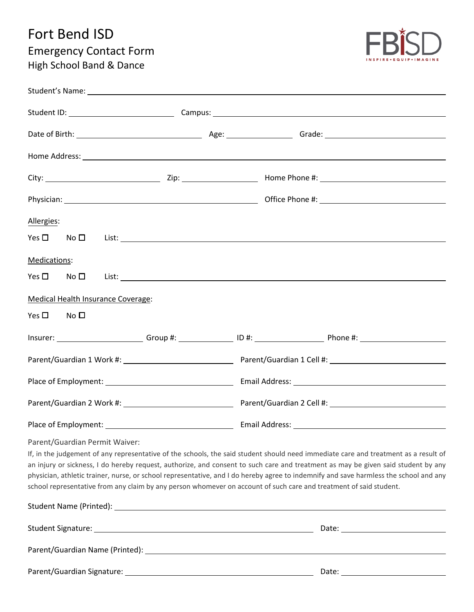# Fort Bend ISD Emergency Contact Form High School Band & Dance



| Allergies:           |                                    |                                                                                                                                                                                                                                                                                                                                                                                                                                                                                                                                         |
|----------------------|------------------------------------|-----------------------------------------------------------------------------------------------------------------------------------------------------------------------------------------------------------------------------------------------------------------------------------------------------------------------------------------------------------------------------------------------------------------------------------------------------------------------------------------------------------------------------------------|
|                      |                                    | $Yes \Box \qquad No \Box \qquad List: \Box$                                                                                                                                                                                                                                                                                                                                                                                                                                                                                             |
| Medications:         |                                    |                                                                                                                                                                                                                                                                                                                                                                                                                                                                                                                                         |
|                      |                                    | $Yes \Box \qquad No \Box \qquad List: \_$                                                                                                                                                                                                                                                                                                                                                                                                                                                                                               |
|                      | Medical Health Insurance Coverage: |                                                                                                                                                                                                                                                                                                                                                                                                                                                                                                                                         |
| $Yes \Box$ No $\Box$ |                                    |                                                                                                                                                                                                                                                                                                                                                                                                                                                                                                                                         |
|                      |                                    |                                                                                                                                                                                                                                                                                                                                                                                                                                                                                                                                         |
|                      |                                    | Parent/Guardian 1 Work #: 1990 11: 2010 12: 2010 12: 2010 12: 2010 12: 2010 12: 2010 12: 2010 12: 2010 12: 201                                                                                                                                                                                                                                                                                                                                                                                                                          |
|                      |                                    |                                                                                                                                                                                                                                                                                                                                                                                                                                                                                                                                         |
|                      |                                    | Parent/Guardian 2 Work #: New York 2 Cell #: New York #: New York #: New York #: New York #: New York #: New York #                                                                                                                                                                                                                                                                                                                                                                                                                     |
|                      |                                    |                                                                                                                                                                                                                                                                                                                                                                                                                                                                                                                                         |
|                      | Parent/Guardian Permit Waiver:     | If, in the judgement of any representative of the schools, the said student should need immediate care and treatment as a result of<br>an injury or sickness, I do hereby request, authorize, and consent to such care and treatment as may be given said student by any<br>physician, athletic trainer, nurse, or school representative, and I do hereby agree to indemnify and save harmless the school and any<br>school representative from any claim by any person whomever on account of such care and treatment of said student. |
|                      |                                    |                                                                                                                                                                                                                                                                                                                                                                                                                                                                                                                                         |
|                      |                                    |                                                                                                                                                                                                                                                                                                                                                                                                                                                                                                                                         |
|                      |                                    |                                                                                                                                                                                                                                                                                                                                                                                                                                                                                                                                         |

Parent/Guardian Signature: Date: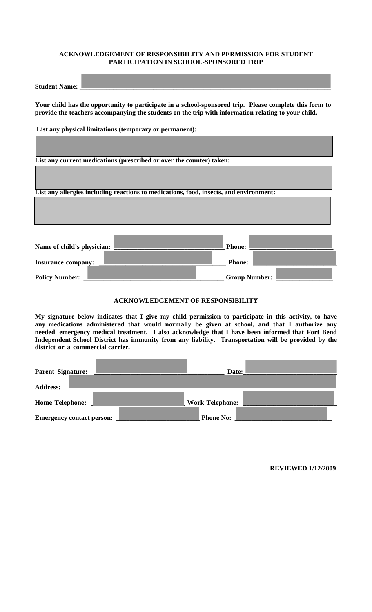### **ACKNOWLEDGEMENT OF RESPONSIBILITY AND PERMISSION FOR STUDENT PARTICIPATION IN SCHOOL-SPONSORED TRIP**

| <b>Student</b><br><b>Name:</b> |  |
|--------------------------------|--|
| $\cdots$                       |  |
|                                |  |

Ш

**Your child has the opportunity to participate in a school-sponsored trip. Please complete this form to provide the teachers accompanying the students on the trip with information relating to your child.** 

**List any physical limitations (temporary or permanent):** 

| List any current medications (prescribed or over the counter) taken:                   |                      |
|----------------------------------------------------------------------------------------|----------------------|
|                                                                                        |                      |
|                                                                                        |                      |
| List any allergies including reactions to medications, food, insects, and environment: |                      |
|                                                                                        |                      |
|                                                                                        |                      |
|                                                                                        |                      |
|                                                                                        |                      |
| Name of child's physician:                                                             | <b>Phone:</b>        |
|                                                                                        |                      |
| <b>Insurance company:</b>                                                              | <b>Phone:</b>        |
|                                                                                        |                      |
| <b>Policy Number:</b>                                                                  | <b>Group Number:</b> |

### **ACKNOWLEDGEMENT OF RESPONSIBILITY**

**My signature below indicates that I give my child permission to participate in this activity, to have any medications administered that would normally be given at school, and that I authorize any needed emergency medical treatment. I also acknowledge that I have been informed that Fort Bend Independent School District has immunity from any liability. Transportation will be provided by the district or a commercial carrier.** 

| <b>Parent Signature:</b>         | Date: $\vert$          |  |
|----------------------------------|------------------------|--|
| <b>Address:</b>                  |                        |  |
| <b>Home Telephone:</b>           | <b>Work Telephone:</b> |  |
| <b>Emergency contact person:</b> | <b>Phone No:</b>       |  |

**REVIEWED 1/12/2009**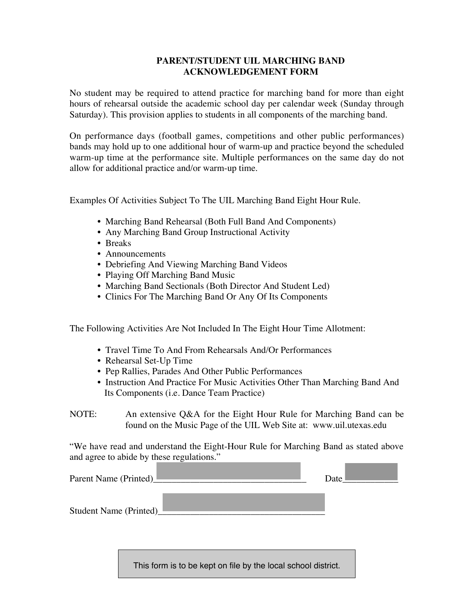### **PARENT/STUDENT UIL MARCHING BAND ACKNOWLEDGEMENT FORM**

No student may be required to attend practice for marching band for more than eight hours of rehearsal outside the academic school day per calendar week (Sunday through Saturday). This provision applies to students in all components of the marching band.

On performance days (football games, competitions and other public performances) bands may hold up to one additional hour of warm-up and practice beyond the scheduled warm-up time at the performance site. Multiple performances on the same day do not allow for additional practice and/or warm-up time.

Examples Of Activities Subject To The UIL Marching Band Eight Hour Rule.

- Marching Band Rehearsal (Both Full Band And Components)
- Any Marching Band Group Instructional Activity
- Breaks
- Announcements
- Debriefing And Viewing Marching Band Videos
- Playing Off Marching Band Music
- Marching Band Sectionals (Both Director And Student Led)
- Clinics For The Marching Band Or Any Of Its Components

The Following Activities Are Not Included In The Eight Hour Time Allotment:

- Travel Time To And From Rehearsals And/Or Performances
- Rehearsal Set-Up Time
- Pep Rallies, Parades And Other Public Performances
- Instruction And Practice For Music Activities Other Than Marching Band And Its Components (i.e. Dance Team Practice)

NOTE: An extensive Q&A for the Eight Hour Rule for Marching Band can be found on the Music Page of the UIL Web Site at: www.uil.utexas.edu

"We have read and understand the Eight-Hour Rule for Marching Band as stated above and agree to abide by these regulations."

| Parent Name (Printed)  | Date |  |
|------------------------|------|--|
| Student Name (Printed) |      |  |

This form is to be kept on file by the local school district.